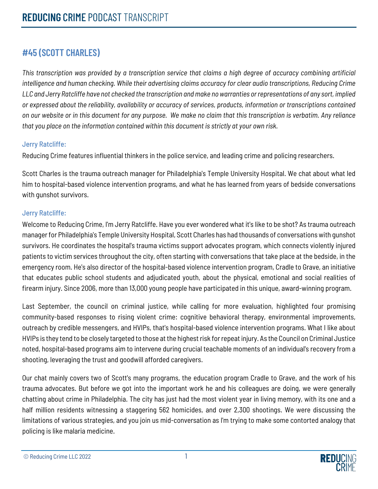## **#45 (SCOTT CHARLES)**

*This transcription was provided by a transcription service that claims a high degree of accuracy combining artificial intelligence and human checking. While their advertising claims accuracy for clear audio transcriptions, Reducing Crime LLC and Jerry Ratcliffe have not checked the transcription and make no warranties or representations of any sort, implied or expressed about the reliability, availability or accuracy of services, products, information or transcriptions contained on our website or in this document for any purpose. We make no claim that this transcription is verbatim. Any reliance that you place on the information contained within this document is strictly at your own risk.*

### Jerry Ratcliffe:

Reducing Crime features influential thinkers in the police service, and leading crime and policing researchers.

Scott Charles is the trauma outreach manager for Philadelphia's Temple University Hospital. We chat about what led him to hospital-based violence intervention programs, and what he has learned from years of bedside conversations with gunshot survivors.

## Jerry Ratcliffe:

Welcome to Reducing Crime, I'm Jerry Ratcliffe. Have you ever wondered what it's like to be shot? As trauma outreach manager for Philadelphia's Temple University Hospital, Scott Charles has had thousands of conversations with gunshot survivors. He coordinates the hospital's trauma victims support advocates program, which connects violently injured patients to victim services throughout the city, often starting with conversations that take place at the bedside, in the emergency room. He's also director of the hospital-based violence intervention program, Cradle to Grave, an initiative that educates public school students and adjudicated youth, about the physical, emotional and social realities of firearm injury. Since 2006, more than 13,000 young people have participated in this unique, award-winning program.

Last September, the council on criminal justice, while calling for more evaluation, highlighted four promising community-based responses to rising violent crime: cognitive behavioral therapy, environmental improvements, outreach by credible messengers, and HVIPs, that's hospital-based violence intervention programs. What I like about HVIPs is they tend to be closely targeted to those at the highest risk for repeat injury. As the Council on Criminal Justice noted, hospital-based programs aim to intervene during crucial teachable moments of an individual's recovery from a shooting, leveraging the trust and goodwill afforded caregivers.

Our chat mainly covers two of Scott's many programs, the education program Cradle to Grave, and the work of his trauma advocates. But before we got into the important work he and his colleagues are doing, we were generally chatting about crime in Philadelphia. The city has just had the most violent year in living memory, with its one and a half million residents witnessing a staggering 562 homicides, and over 2,300 shootings. We were discussing the limitations of various strategies, and you join us mid-conversation as I'm trying to make some contorted analogy that policing is like malaria medicine.

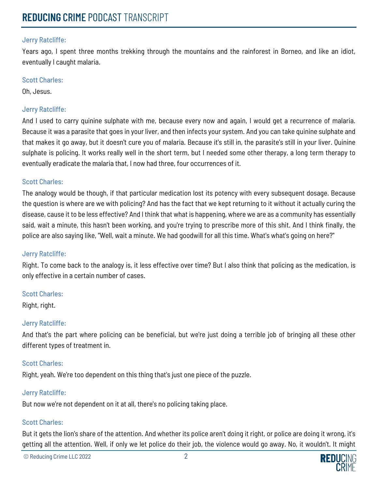Years ago, I spent three months trekking through the mountains and the rainforest in Borneo, and like an idiot, eventually I caught malaria.

#### Scott Charles:

Oh, Jesus.

### Jerry Ratcliffe:

And I used to carry quinine sulphate with me, because every now and again, I would get a recurrence of malaria. Because it was a parasite that goes in your liver, and then infects your system. And you can take quinine sulphate and that makes it go away, but it doesn't cure you of malaria. Because it's still in, the parasite's still in your liver. Quinine sulphate is policing. It works really well in the short term, but I needed some other therapy, a long term therapy to eventually eradicate the malaria that, I now had three, four occurrences of it.

#### Scott Charles:

The analogy would be though, if that particular medication lost its potency with every subsequent dosage. Because the question is where are we with policing? And has the fact that we kept returning to it without it actually curing the disease, cause it to be less effective? And I think that what is happening, where we are as a community has essentially said, wait a minute, this hasn't been working, and you're trying to prescribe more of this shit. And I think finally, the police are also saying like, "Well, wait a minute. We had goodwill for all this time. What's what's going on here?"

#### Jerry Ratcliffe:

Right. To come back to the analogy is, it less effective over time? But I also think that policing as the medication, is only effective in a certain number of cases.

#### Scott Charles:

Right, right.

#### Jerry Ratcliffe:

And that's the part where policing can be beneficial, but we're just doing a terrible job of bringing all these other different types of treatment in.

#### Scott Charles:

Right, yeah. We're too dependent on this thing that's just one piece of the puzzle.

#### Jerry Ratcliffe:

But now we're not dependent on it at all, there's no policing taking place.

#### Scott Charles:

But it gets the lion's share of the attention. And whether its police aren't doing it right, or police are doing it wrong, it's getting all the attention. Well, if only we let police do their job, the violence would go away. No, it wouldn't. It might

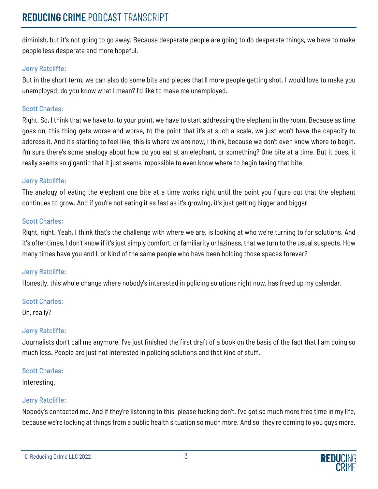diminish, but it's not going to go away. Because desperate people are going to do desperate things, we have to make people less desperate and more hopeful.

## Jerry Ratcliffe:

But in the short term, we can also do some bits and pieces that'll more people getting shot. I would love to make you unemployed; do you know what I mean? I'd like to make me unemployed.

## Scott Charles:

Right. So, I think that we have to, to your point, we have to start addressing the elephant in the room. Because as time goes on, this thing gets worse and worse, to the point that it's at such a scale, we just won't have the capacity to address it. And it's starting to feel like, this is where we are now, I think, because we don't even know where to begin. I'm sure there's some analogy about how do you eat at an elephant, or something? One bite at a time. But it does, it really seems so gigantic that it just seems impossible to even know where to begin taking that bite.

## Jerry Ratcliffe:

The analogy of eating the elephant one bite at a time works right until the point you figure out that the elephant continues to grow. And if you're not eating it as fast as it's growing, it's just getting bigger and bigger.

## Scott Charles:

Right, right. Yeah, I think that's the challenge with where we are, is looking at who we're turning to for solutions. And it's oftentimes, I don't know if it's just simply comfort, or familiarity or laziness, that we turn to the usual suspects. How many times have you and I, or kind of the same people who have been holding those spaces forever?

## Jerry Ratcliffe:

Honestly, this whole change where nobody's interested in policing solutions right now, has freed up my calendar.

## Scott Charles:

Oh, really?

## Jerry Ratcliffe:

Journalists don't call me anymore. I've just finished the first draft of a book on the basis of the fact that I am doing so much less. People are just not interested in policing solutions and that kind of stuff.

## Scott Charles:

Interesting.

## Jerry Ratcliffe:

Nobody's contacted me. And if they're listening to this, please fucking don't. I've got so much more free time in my life, because we're looking at things from a public health situation so much more. And so, they're coming to you guys more.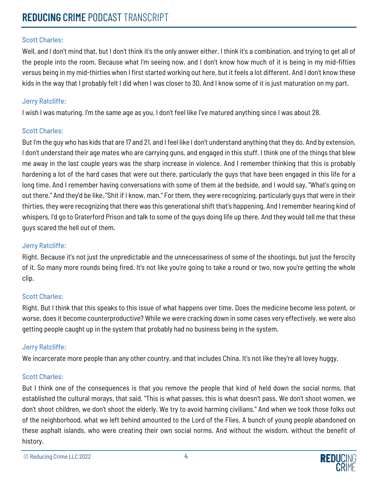## Scott Charles:

Well, and I don't mind that, but I don't think it's the only answer either. I think it's a combination, and trying to get all of the people into the room. Because what I'm seeing now, and I don't know how much of it is being in my mid-fifties versus being in my mid-thirties when I first started working out here, but it feels a lot different. And I don't know these kids in the way that I probably felt I did when I was closer to 30. And I know some of it is just maturation on my part.

#### Jerry Ratcliffe:

I wish I was maturing. I'm the same age as you, I don't feel like I've matured anything since I was about 28.

### Scott Charles:

But I'm the guy who has kids that are 17 and 21, and I feel like I don't understand anything that they do. And by extension, I don't understand their age mates who are carrying guns, and engaged in this stuff. I think one of the things that blew me away in the last couple years was the sharp increase in violence. And I remember thinking that this is probably hardening a lot of the hard cases that were out there, particularly the guys that have been engaged in this life for a long time. And I remember having conversations with some of them at the bedside, and I would say, "What's going on out there." And they'd be like, "Shit if I know, man." For them, they were recognizing, particularly guys that were in their thirties, they were recognizing that there was this generational shift that's happening. And I remember hearing kind of whispers, I'd go to Graterford Prison and talk to some of the guys doing life up there. And they would tell me that these guys scared the hell out of them.

#### Jerry Ratcliffe:

Right. Because it's not just the unpredictable and the unnecessariness of some of the shootings, but just the ferocity of it. So many more rounds being fired. It's not like you're going to take a round or two, now you're getting the whole clip.

#### Scott Charles:

Right. But I think that this speaks to this issue of what happens over time. Does the medicine become less potent, or worse, does it become counterproductive? While we were cracking down in some cases very effectively, we were also getting people caught up in the system that probably had no business being in the system.

#### Jerry Ratcliffe:

We incarcerate more people than any other country, and that includes China. It's not like they're all lovey huggy.

## Scott Charles:

But I think one of the consequences is that you remove the people that kind of held down the social norms, that established the cultural morays, that said, "This is what passes, this is what doesn't pass. We don't shoot women, we don't shoot children, we don't shoot the elderly. We try to avoid harming civilians." And when we took those folks out of the neighborhood, what we left behind amounted to the Lord of the Flies. A bunch of young people abandoned on these asphalt islands, who were creating their own social norms. And without the wisdom, without the benefit of history.

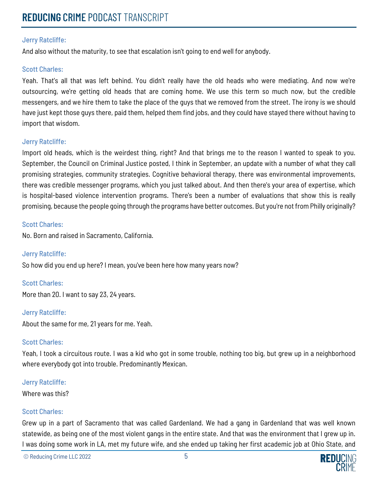And also without the maturity, to see that escalation isn't going to end well for anybody.

#### Scott Charles:

Yeah. That's all that was left behind. You didn't really have the old heads who were mediating. And now we're outsourcing, we're getting old heads that are coming home. We use this term so much now, but the credible messengers, and we hire them to take the place of the guys that we removed from the street. The irony is we should have just kept those guys there, paid them, helped them find jobs, and they could have stayed there without having to import that wisdom.

#### Jerry Ratcliffe:

Import old heads, which is the weirdest thing, right? And that brings me to the reason I wanted to speak to you. September, the Council on Criminal Justice posted, I think in September, an update with a number of what they call promising strategies, community strategies. Cognitive behavioral therapy, there was environmental improvements, there was credible messenger programs, which you just talked about. And then there's your area of expertise, which is hospital-based violence intervention programs. There's been a number of evaluations that show this is really promising, because the people going through the programs have better outcomes. But you're not from Philly originally?

#### Scott Charles:

No. Born and raised in Sacramento, California.

Jerry Ratcliffe:

So how did you end up here? I mean, you've been here how many years now?

#### Scott Charles:

More than 20. I want to say 23, 24 years.

#### Jerry Ratcliffe:

About the same for me, 21 years for me. Yeah.

#### Scott Charles:

Yeah, I took a circuitous route. I was a kid who got in some trouble, nothing too big, but grew up in a neighborhood where everybody got into trouble. Predominantly Mexican.

#### Jerry Ratcliffe:

Where was this?

#### Scott Charles:

Grew up in a part of Sacramento that was called Gardenland. We had a gang in Gardenland that was well known statewide, as being one of the most violent gangs in the entire state. And that was the environment that I grew up in. I was doing some work in LA, met my future wife, and she ended up taking her first academic job at Ohio State, and

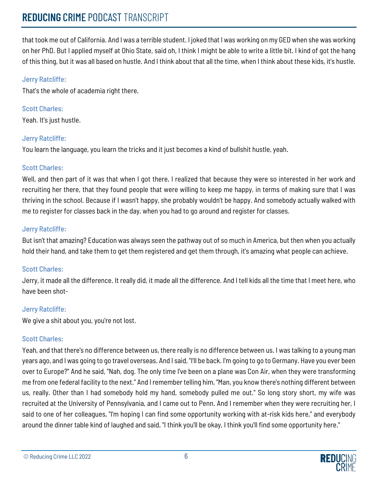## **REDUCING** CRIME PODCAST TRANSCRIPT

that took me out of California. And I was a terrible student. I joked that I was working on my GED when she was working on her PhD. But I applied myself at Ohio State, said oh, I think I might be able to write a little bit. I kind of got the hang of this thing, but it was all based on hustle. And I think about that all the time, when I think about these kids, it's hustle.

### Jerry Ratcliffe:

That's the whole of academia right there.

Scott Charles: Yeah. It's just hustle.

### Jerry Ratcliffe:

You learn the language, you learn the tricks and it just becomes a kind of bullshit hustle, yeah.

### Scott Charles:

Well, and then part of it was that when I got there, I realized that because they were so interested in her work and recruiting her there, that they found people that were willing to keep me happy, in terms of making sure that I was thriving in the school. Because if I wasn't happy, she probably wouldn't be happy. And somebody actually walked with me to register for classes back in the day, when you had to go around and register for classes.

## Jerry Ratcliffe:

But isn't that amazing? Education was always seen the pathway out of so much in America, but then when you actually hold their hand, and take them to get them registered and get them through, it's amazing what people can achieve.

## Scott Charles:

Jerry, it made all the difference. It really did, it made all the difference. And I tell kids all the time that I meet here, who have been shot-

#### Jerry Ratcliffe:

We give a shit about you, you're not lost.

## Scott Charles:

Yeah, and that there's no difference between us, there really is no difference between us. I was talking to a young man years ago, and I was going to go travel overseas. And I said, "I'll be back. I'm going to go to Germany. Have you ever been over to Europe?" And he said, "Nah, dog. The only time I've been on a plane was Con Air, when they were transforming me from one federal facility to the next." And I remember telling him, "Man, you know there's nothing different between us, really. Other than I had somebody hold my hand, somebody pulled me out." So long story short, my wife was recruited at the University of Pennsylvania, and I came out to Penn. And I remember when they were recruiting her, I said to one of her colleagues, "I'm hoping I can find some opportunity working with at-risk kids here," and everybody around the dinner table kind of laughed and said, "I think you'll be okay, I think you'll find some opportunity here."

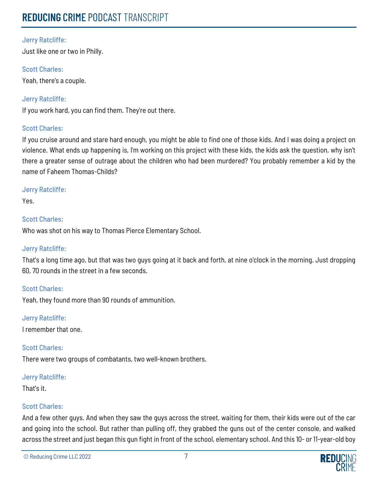Just like one or two in Philly.

### Scott Charles:

Yeah, there's a couple.

Jerry Ratcliffe:

If you work hard, you can find them. They're out there.

### Scott Charles:

If you cruise around and stare hard enough, you might be able to find one of those kids. And I was doing a project on violence. What ends up happening is, I'm working on this project with these kids, the kids ask the question, why isn't there a greater sense of outrage about the children who had been murdered? You probably remember a kid by the name of Faheem Thomas-Childs?

#### Jerry Ratcliffe:

Yes.

### Scott Charles:

Who was shot on his way to Thomas Pierce Elementary School.

#### Jerry Ratcliffe:

That's a long time ago, but that was two guys going at it back and forth, at nine o'clock in the morning. Just dropping 60, 70 rounds in the street in a few seconds.

## Scott Charles:

Yeah, they found more than 90 rounds of ammunition.

#### Jerry Ratcliffe:

I remember that one.

#### Scott Charles:

There were two groups of combatants, two well-known brothers.

#### Jerry Ratcliffe:

That's it.

## Scott Charles:

And a few other guys. And when they saw the guys across the street, waiting for them, their kids were out of the car and going into the school. But rather than pulling off, they grabbed the guns out of the center console, and walked across the street and just began this gun fight in front of the school, elementary school. And this 10- or 11-year-old boy

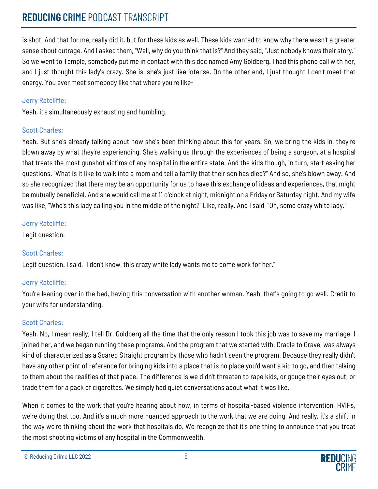# **REDUCING** CRIME PODCAST TRANSCRIPT

is shot. And that for me, really did it, but for these kids as well. These kids wanted to know why there wasn't a greater sense about outrage. And I asked them, "Well, why do you think that is?" And they said, "Just nobody knows their story." So we went to Temple, somebody put me in contact with this doc named Amy Goldberg. I had this phone call with her, and I just thought this lady's crazy. She is, she's just like intense. On the other end, I just thought I can't meet that energy. You ever meet somebody like that where you're like-

## Jerry Ratcliffe:

Yeah, it's simultaneously exhausting and humbling.

## Scott Charles:

Yeah. But she's already talking about how she's been thinking about this for years. So, we bring the kids in, they're blown away by what they're experiencing. She's walking us through the experiences of being a surgeon, at a hospital that treats the most gunshot victims of any hospital in the entire state. And the kids though, in turn, start asking her questions. "What is it like to walk into a room and tell a family that their son has died?" And so, she's blown away. And so she recognized that there may be an opportunity for us to have this exchange of ideas and experiences, that might be mutually beneficial. And she would call me at 11 o'clock at night, midnight on a Friday or Saturday night. And my wife was like, "Who's this lady calling you in the middle of the night?" Like, really. And I said, "Oh, some crazy white lady."

## Jerry Ratcliffe:

Legit question.

## Scott Charles:

Legit question. I said, "I don't know, this crazy white lady wants me to come work for her."

## Jerry Ratcliffe:

You're leaning over in the bed, having this conversation with another woman. Yeah, that's going to go well. Credit to your wife for understanding.

## Scott Charles:

Yeah. No, I mean really, I tell Dr. Goldberg all the time that the only reason I took this job was to save my marriage. I joined her, and we began running these programs. And the program that we started with, Cradle to Grave, was always kind of characterized as a Scared Straight program by those who hadn't seen the program. Because they really didn't have any other point of reference for bringing kids into a place that is no place you'd want a kid to go, and then talking to them about the realities of that place. The difference is we didn't threaten to rape kids, or gouge their eyes out, or trade them for a pack of cigarettes. We simply had quiet conversations about what it was like.

When it comes to the work that you're hearing about now, in terms of hospital-based violence intervention, HVIPs, we're doing that too. And it's a much more nuanced approach to the work that we are doing. And really, it's a shift in the way we're thinking about the work that hospitals do. We recognize that it's one thing to announce that you treat the most shooting victims of any hospital in the Commonwealth.

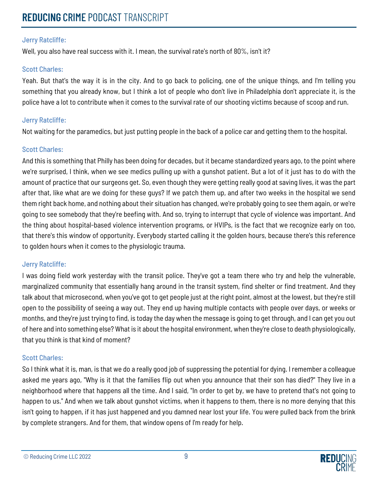Well, you also have real success with it. I mean, the survival rate's north of 80%, isn't it?

#### Scott Charles:

Yeah. But that's the way it is in the city. And to go back to policing, one of the unique things, and I'm telling you something that you already know, but I think a lot of people who don't live in Philadelphia don't appreciate it, is the police have a lot to contribute when it comes to the survival rate of our shooting victims because of scoop and run.

#### Jerry Ratcliffe:

Not waiting for the paramedics, but just putting people in the back of a police car and getting them to the hospital.

### Scott Charles:

And this is something that Philly has been doing for decades, but it became standardized years ago, to the point where we're surprised, I think, when we see medics pulling up with a gunshot patient. But a lot of it just has to do with the amount of practice that our surgeons get. So, even though they were getting really good at saving lives, it was the part after that, like what are we doing for these guys? If we patch them up, and after two weeks in the hospital we send them right back home, and nothing about their situation has changed, we're probably going to see them again, or we're going to see somebody that they're beefing with. And so, trying to interrupt that cycle of violence was important. And the thing about hospital-based violence intervention programs, or HVIPs, is the fact that we recognize early on too, that there's this window of opportunity. Everybody started calling it the golden hours, because there's this reference to golden hours when it comes to the physiologic trauma.

#### Jerry Ratcliffe:

I was doing field work yesterday with the transit police. They've got a team there who try and help the vulnerable, marginalized community that essentially hang around in the transit system, find shelter or find treatment. And they talk about that microsecond, when you've got to get people just at the right point, almost at the lowest, but they're still open to the possibility of seeing a way out. They end up having multiple contacts with people over days, or weeks or months, and they're just trying to find, is today the day when the message is going to get through, and I can get you out of here and into something else? What is it about the hospital environment, when they're close to death physiologically, that you think is that kind of moment?

## Scott Charles:

So I think what it is, man, is that we do a really good job of suppressing the potential for dying. I remember a colleague asked me years ago, "Why is it that the families flip out when you announce that their son has died?" They live in a neighborhood where that happens all the time. And I said, "In order to get by, we have to pretend that's not going to happen to us." And when we talk about gunshot victims, when it happens to them, there is no more denying that this isn't going to happen, if it has just happened and you damned near lost your life. You were pulled back from the brink by complete strangers. And for them, that window opens of I'm ready for help.

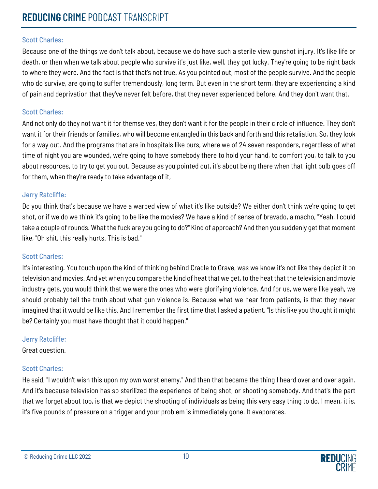#### Scott Charles:

Because one of the things we don't talk about, because we do have such a sterile view gunshot injury. It's like life or death, or then when we talk about people who survive it's just like, well, they got lucky. They're going to be right back to where they were. And the fact is that that's not true. As you pointed out, most of the people survive. And the people who do survive, are going to suffer tremendously, long term. But even in the short term, they are experiencing a kind of pain and deprivation that they've never felt before, that they never experienced before. And they don't want that.

#### Scott Charles:

And not only do they not want it for themselves, they don't want it for the people in their circle of influence. They don't want it for their friends or families, who will become entangled in this back and forth and this retaliation. So, they look for a way out. And the programs that are in hospitals like ours, where we of 24 seven responders, regardless of what time of night you are wounded, we're going to have somebody there to hold your hand, to comfort you, to talk to you about resources, to try to get you out. Because as you pointed out, it's about being there when that light bulb goes off for them, when they're ready to take advantage of it,

#### Jerry Ratcliffe:

Do you think that's because we have a warped view of what it's like outside? We either don't think we're going to get shot, or if we do we think it's going to be like the movies? We have a kind of sense of bravado, a macho, "Yeah, I could take a couple of rounds. What the fuck are you going to do?" Kind of approach? And then you suddenly get that moment like, "Oh shit, this really hurts. This is bad."

#### Scott Charles:

It's interesting. You touch upon the kind of thinking behind Cradle to Grave, was we know it's not like they depict it on television and movies. And yet when you compare the kind of heat that we get, to the heat that the television and movie industry gets, you would think that we were the ones who were glorifying violence. And for us, we were like yeah, we should probably tell the truth about what gun violence is. Because what we hear from patients, is that they never imagined that it would be like this. And I remember the first time that I asked a patient, "Is this like you thought it might be? Certainly you must have thought that it could happen."

#### Jerry Ratcliffe:

Great question.

## Scott Charles:

He said, "I wouldn't wish this upon my own worst enemy." And then that became the thing I heard over and over again. And it's because television has so sterilized the experience of being shot, or shooting somebody. And that's the part that we forget about too, is that we depict the shooting of individuals as being this very easy thing to do. I mean, it is, it's five pounds of pressure on a trigger and your problem is immediately gone. It evaporates.

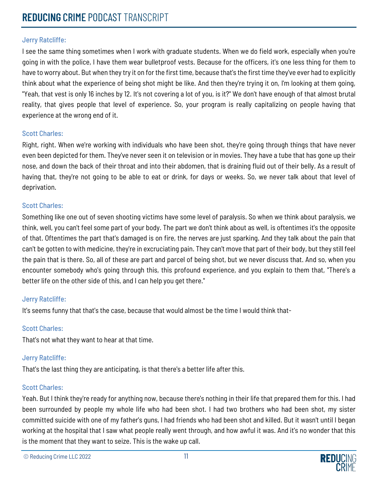I see the same thing sometimes when I work with graduate students. When we do field work, especially when you're going in with the police, I have them wear bulletproof vests. Because for the officers, it's one less thing for them to have to worry about. But when they try it on for the first time, because that's the first time they've ever had to explicitly think about what the experience of being shot might be like. And then they're trying it on, I'm looking at them going, "Yeah, that vest is only 16 inches by 12. It's not covering a lot of you, is it?" We don't have enough of that almost brutal reality, that gives people that level of experience. So, your program is really capitalizing on people having that experience at the wrong end of it.

#### Scott Charles:

Right, right. When we're working with individuals who have been shot, they're going through things that have never even been depicted for them. They've never seen it on television or in movies. They have a tube that has gone up their nose, and down the back of their throat and into their abdomen, that is draining fluid out of their belly. As a result of having that, they're not going to be able to eat or drink, for days or weeks. So, we never talk about that level of deprivation.

#### Scott Charles:

Something like one out of seven shooting victims have some level of paralysis. So when we think about paralysis, we think, well, you can't feel some part of your body. The part we don't think about as well, is oftentimes it's the opposite of that. Oftentimes the part that's damaged is on fire, the nerves are just sparking. And they talk about the pain that can't be gotten to with medicine, they're in excruciating pain. They can't move that part of their body, but they still feel the pain that is there. So, all of these are part and parcel of being shot, but we never discuss that. And so, when you encounter somebody who's going through this, this profound experience, and you explain to them that, "There's a better life on the other side of this, and I can help you get there."

#### Jerry Ratcliffe:

It's seems funny that that's the case, because that would almost be the time I would think that-

## Scott Charles:

That's not what they want to hear at that time.

## Jerry Ratcliffe:

That's the last thing they are anticipating, is that there's a better life after this.

#### Scott Charles:

Yeah. But I think they're ready for anything now, because there's nothing in their life that prepared them for this. I had been surrounded by people my whole life who had been shot. I had two brothers who had been shot, my sister committed suicide with one of my father's guns, I had friends who had been shot and killed. But it wasn't until I began working at the hospital that I saw what people really went through, and how awful it was. And it's no wonder that this is the moment that they want to seize. This is the wake up call.

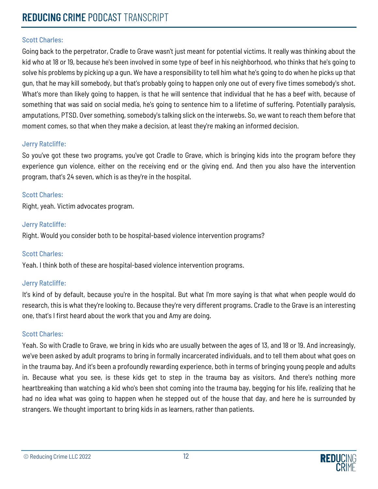## Scott Charles:

Going back to the perpetrator, Cradle to Grave wasn't just meant for potential victims. It really was thinking about the kid who at 18 or 19, because he's been involved in some type of beef in his neighborhood, who thinks that he's going to solve his problems by picking up a gun. We have a responsibility to tell him what he's going to do when he picks up that gun, that he may kill somebody, but that's probably going to happen only one out of every five times somebody's shot. What's more than likely going to happen, is that he will sentence that individual that he has a beef with, because of something that was said on social media, he's going to sentence him to a lifetime of suffering. Potentially paralysis, amputations, PTSD. Over something, somebody's talking slick on the interwebs. So, we want to reach them before that moment comes, so that when they make a decision, at least they're making an informed decision.

#### Jerry Ratcliffe:

So you've got these two programs, you've got Cradle to Grave, which is bringing kids into the program before they experience gun violence, either on the receiving end or the giving end. And then you also have the intervention program, that's 24 seven, which is as they're in the hospital.

#### Scott Charles:

Right, yeah. Victim advocates program.

### Jerry Ratcliffe:

Right. Would you consider both to be hospital-based violence intervention programs?

#### Scott Charles:

Yeah. I think both of these are hospital-based violence intervention programs.

## Jerry Ratcliffe:

It's kind of by default, because you're in the hospital. But what I'm more saying is that what when people would do research, this is what they're looking to. Because they're very different programs. Cradle to the Grave is an interesting one, that's I first heard about the work that you and Amy are doing.

#### Scott Charles:

Yeah. So with Cradle to Grave, we bring in kids who are usually between the ages of 13, and 18 or 19. And increasingly, we've been asked by adult programs to bring in formally incarcerated individuals, and to tell them about what goes on in the trauma bay. And it's been a profoundly rewarding experience, both in terms of bringing young people and adults in. Because what you see, is these kids get to step in the trauma bay as visitors. And there's nothing more heartbreaking than watching a kid who's been shot coming into the trauma bay, begging for his life, realizing that he had no idea what was going to happen when he stepped out of the house that day, and here he is surrounded by strangers. We thought important to bring kids in as learners, rather than patients.

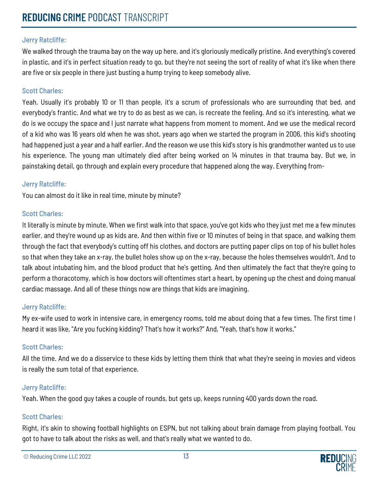We walked through the trauma bay on the way up here, and it's gloriously medically pristine. And everything's covered in plastic, and it's in perfect situation ready to go, but they're not seeing the sort of reality of what it's like when there are five or six people in there just busting a hump trying to keep somebody alive.

#### Scott Charles:

Yeah. Usually it's probably 10 or 11 than people, it's a scrum of professionals who are surrounding that bed, and everybody's frantic. And what we try to do as best as we can, is recreate the feeling. And so it's interesting, what we do is we occupy the space and I just narrate what happens from moment to moment. And we use the medical record of a kid who was 16 years old when he was shot, years ago when we started the program in 2006, this kid's shooting had happened just a year and a half earlier. And the reason we use this kid's story is his grandmother wanted us to use his experience. The young man ultimately died after being worked on 14 minutes in that trauma bay. But we, in painstaking detail, go through and explain every procedure that happened along the way. Everything from-

#### Jerry Ratcliffe:

You can almost do it like in real time, minute by minute?

#### Scott Charles:

It literally is minute by minute. When we first walk into that space, you've got kids who they just met me a few minutes earlier, and they're wound up as kids are. And then within five or 10 minutes of being in that space, and walking them through the fact that everybody's cutting off his clothes, and doctors are putting paper clips on top of his bullet holes so that when they take an x-ray, the bullet holes show up on the x-ray, because the holes themselves wouldn't. And to talk about intubating him, and the blood product that he's getting. And then ultimately the fact that they're going to perform a thoracotomy, which is how doctors will oftentimes start a heart, by opening up the chest and doing manual cardiac massage. And all of these things now are things that kids are imagining.

#### Jerry Ratcliffe:

My ex-wife used to work in intensive care, in emergency rooms, told me about doing that a few times. The first time I heard it was like, "Are you fucking kidding? That's how it works?" And, "Yeah, that's how it works."

#### Scott Charles:

All the time. And we do a disservice to these kids by letting them think that what they're seeing in movies and videos is really the sum total of that experience.

#### Jerry Ratcliffe:

Yeah. When the good guy takes a couple of rounds, but gets up, keeps running 400 yards down the road.

#### Scott Charles:

Right, it's akin to showing football highlights on ESPN, but not talking about brain damage from playing football. You got to have to talk about the risks as well, and that's really what we wanted to do.

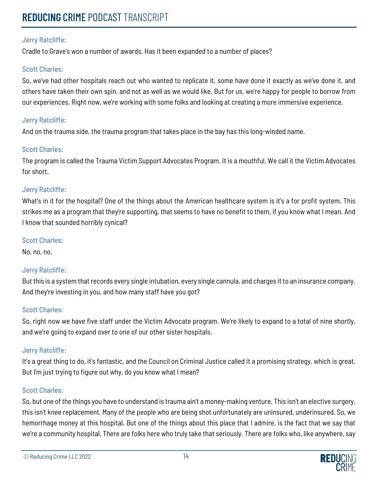Cradle to Grave's won a number of awards. Has it been expanded to a number of places?

### Scott Charles:

So, we've had other hospitals reach out who wanted to replicate it, some have done it exactly as we've done it, and others have taken their own spin, and not as well as we would like. But for us, we're happy for people to borrow from our experiences. Right now, we're working with some folks and looking at creating a more immersive experience.

### Jerry Ratcliffe:

And on the trauma side, the trauma program that takes place in the bay has this long-winded name.

### Scott Charles:

The program is called the Trauma Victim Support Advocates Program. It is a mouthful. We call it the Victim Advocates for short.

### Jerry Ratcliffe:

What's in it for the hospital? One of the things about the American healthcare system is it's a for profit system. This strikes me as a program that they're supporting, that seems to have no benefit to them, if you know what I mean. And I know that sounded horribly cynical?

#### Scott Charles:

No, no, no.

## Jerry Ratcliffe:

But this is a system that records every single intubation, every single cannula, and charges it to an insurance company. And they're investing in you, and how many staff have you got?

#### Scott Charles:

So, right now we have five staff under the Victim Advocate program. We're likely to expand to a total of nine shortly, and we're going to expand over to one of our other sister hospitals.

#### Jerry Ratcliffe:

It's a great thing to do, it's fantastic, and the Council on Criminal Justice called it a promising strategy, which is great. But I'm just trying to figure out why, do you know what I mean?

#### Scott Charles:

So, but one of the things you have to understand is trauma ain't a money-making venture. This isn't an elective surgery, this isn't knee replacement. Many of the people who are being shot unfortunately are uninsured, underinsured. So, we hemorrhage money at this hospital. But one of the things about this place that I admire, is the fact that we say that we're a community hospital. There are folks here who truly take that seriously. There are folks who, like anywhere, say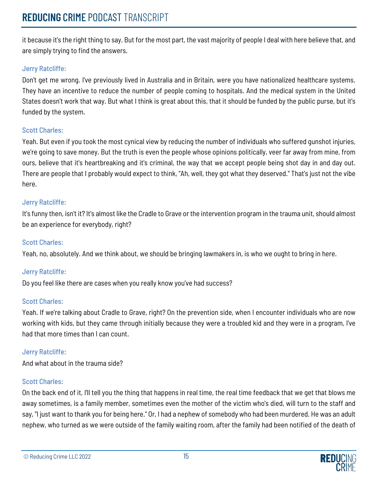it because it's the right thing to say. But for the most part, the vast majority of people I deal with here believe that, and are simply trying to find the answers.

## Jerry Ratcliffe:

Don't get me wrong. I've previously lived in Australia and in Britain, were you have nationalized healthcare systems. They have an incentive to reduce the number of people coming to hospitals. And the medical system in the United States doesn't work that way. But what I think is great about this, that it should be funded by the public purse, but it's funded by the system.

## Scott Charles:

Yeah. But even if you took the most cynical view by reducing the number of individuals who suffered gunshot injuries, we're going to save money. But the truth is even the people whose opinions politically, veer far away from mine, from ours, believe that it's heartbreaking and it's criminal, the way that we accept people being shot day in and day out. There are people that I probably would expect to think, "Ah, well, they got what they deserved." That's just not the vibe here.

### Jerry Ratcliffe:

It's funny then, isn't it? It's almost like the Cradle to Grave or the intervention program in the trauma unit, should almost be an experience for everybody, right?

## Scott Charles:

Yeah, no, absolutely. And we think about, we should be bringing lawmakers in, is who we ought to bring in here.

## Jerry Ratcliffe:

Do you feel like there are cases when you really know you've had success?

#### Scott Charles:

Yeah. If we're talking about Cradle to Grave, right? On the prevention side, when I encounter individuals who are now working with kids, but they came through initially because they were a troubled kid and they were in a program, I've had that more times than I can count.

## Jerry Ratcliffe:

And what about in the trauma side?

## Scott Charles:

On the back end of it, I'll tell you the thing that happens in real time, the real time feedback that we get that blows me away sometimes, is a family member, sometimes even the mother of the victim who's died, will turn to the staff and say, "I just want to thank you for being here." Or, I had a nephew of somebody who had been murdered. He was an adult nephew, who turned as we were outside of the family waiting room, after the family had been notified of the death of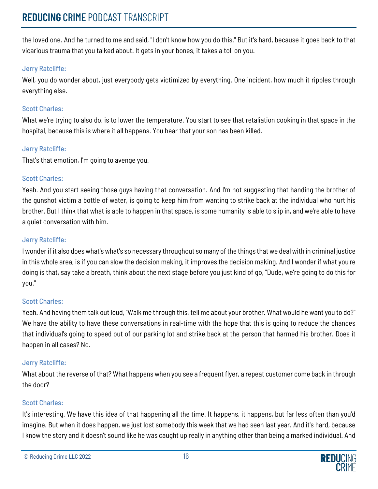the loved one. And he turned to me and said, "I don't know how you do this." But it's hard, because it goes back to that vicarious trauma that you talked about. It gets in your bones, it takes a toll on you.

## Jerry Ratcliffe:

Well, you do wonder about, just everybody gets victimized by everything. One incident, how much it ripples through everything else.

## Scott Charles:

What we're trying to also do, is to lower the temperature. You start to see that retaliation cooking in that space in the hospital, because this is where it all happens. You hear that your son has been killed.

## Jerry Ratcliffe:

That's that emotion, I'm going to avenge you.

## Scott Charles:

Yeah. And you start seeing those guys having that conversation. And I'm not suggesting that handing the brother of the gunshot victim a bottle of water, is going to keep him from wanting to strike back at the individual who hurt his brother. But I think that what is able to happen in that space, is some humanity is able to slip in, and we're able to have a quiet conversation with him.

## Jerry Ratcliffe:

I wonder if it also does what's what's so necessary throughout so many of the things that we deal with in criminal justice in this whole area, is if you can slow the decision making, it improves the decision making. And I wonder if what you're doing is that, say take a breath, think about the next stage before you just kind of go, "Dude, we're going to do this for you."

## Scott Charles:

Yeah. And having them talk out loud, "Walk me through this, tell me about your brother. What would he want you to do?" We have the ability to have these conversations in real-time with the hope that this is going to reduce the chances that individual's going to speed out of our parking lot and strike back at the person that harmed his brother. Does it happen in all cases? No.

## Jerry Ratcliffe:

What about the reverse of that? What happens when you see a frequent flyer, a repeat customer come back in through the door?

## Scott Charles:

It's interesting. We have this idea of that happening all the time. It happens, it happens, but far less often than you'd imagine. But when it does happen, we just lost somebody this week that we had seen last year. And it's hard, because I know the story and it doesn't sound like he was caught up really in anything other than being a marked individual. And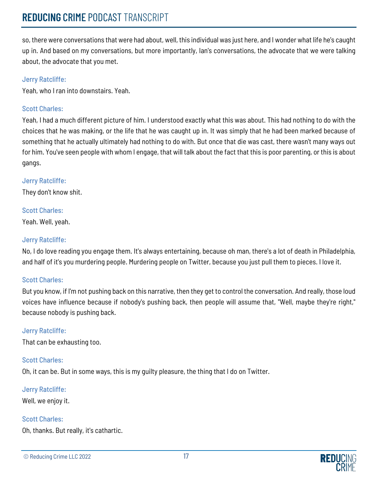so, there were conversations that were had about, well, this individual was just here, and I wonder what life he's caught up in. And based on my conversations, but more importantly, Ian's conversations, the advocate that we were talking about, the advocate that you met.

#### Jerry Ratcliffe:

Yeah, who I ran into downstairs. Yeah.

#### Scott Charles:

Yeah, I had a much different picture of him. I understood exactly what this was about. This had nothing to do with the choices that he was making, or the life that he was caught up in. It was simply that he had been marked because of something that he actually ultimately had nothing to do with. But once that die was cast, there wasn't many ways out for him. You've seen people with whom I engage, that will talk about the fact that this is poor parenting, or this is about gangs.

### Jerry Ratcliffe:

They don't know shit.

### Scott Charles:

Yeah. Well, yeah.

### Jerry Ratcliffe:

No, I do love reading you engage them. It's always entertaining, because oh man, there's a lot of death in Philadelphia, and half of it's you murdering people. Murdering people on Twitter, because you just pull them to pieces. I love it.

#### Scott Charles:

But you know, if I'm not pushing back on this narrative, then they get to control the conversation. And really, those loud voices have influence because if nobody's pushing back, then people will assume that, "Well, maybe they're right," because nobody is pushing back.

#### Jerry Ratcliffe:

That can be exhausting too.

#### Scott Charles:

Oh, it can be. But in some ways, this is my guilty pleasure, the thing that I do on Twitter.

#### Jerry Ratcliffe:

Well, we enjoy it.

## Scott Charles:

Oh, thanks. But really, it's cathartic.

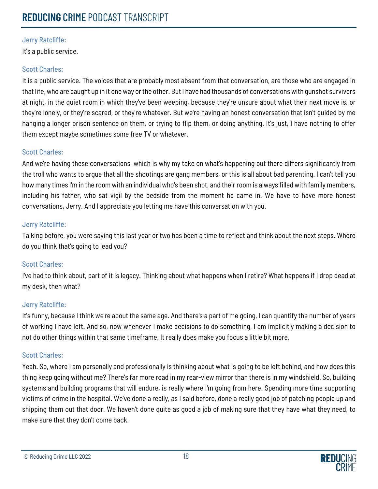It's a public service.

## Scott Charles:

It is a public service. The voices that are probably most absent from that conversation, are those who are engaged in that life, who are caught up in it one way or the other. But I have had thousands of conversations with gunshot survivors at night, in the quiet room in which they've been weeping, because they're unsure about what their next move is, or they're lonely, or they're scared, or they're whatever. But we're having an honest conversation that isn't guided by me hanging a longer prison sentence on them, or trying to flip them, or doing anything. It's just, I have nothing to offer them except maybe sometimes some free TV or whatever.

### Scott Charles:

And we're having these conversations, which is why my take on what's happening out there differs significantly from the troll who wants to argue that all the shootings are gang members, or this is all about bad parenting. I can't tell you how many times I'm in the room with an individual who's been shot, and their room is always filled with family members, including his father, who sat vigil by the bedside from the moment he came in. We have to have more honest conversations, Jerry. And I appreciate you letting me have this conversation with you.

### Jerry Ratcliffe:

Talking before, you were saying this last year or two has been a time to reflect and think about the next steps. Where do you think that's going to lead you?

#### Scott Charles:

I've had to think about, part of it is legacy. Thinking about what happens when I retire? What happens if I drop dead at my desk, then what?

#### Jerry Ratcliffe:

It's funny, because I think we're about the same age. And there's a part of me going, I can quantify the number of years of working I have left. And so, now whenever I make decisions to do something, I am implicitly making a decision to not do other things within that same timeframe. It really does make you focus a little bit more.

#### Scott Charles:

Yeah. So, where I am personally and professionally is thinking about what is going to be left behind, and how does this thing keep going without me? There's far more road in my rear-view mirror than there is in my windshield. So, building systems and building programs that will endure, is really where I'm going from here. Spending more time supporting victims of crime in the hospital. We've done a really, as I said before, done a really good job of patching people up and shipping them out that door. We haven't done quite as good a job of making sure that they have what they need, to make sure that they don't come back.

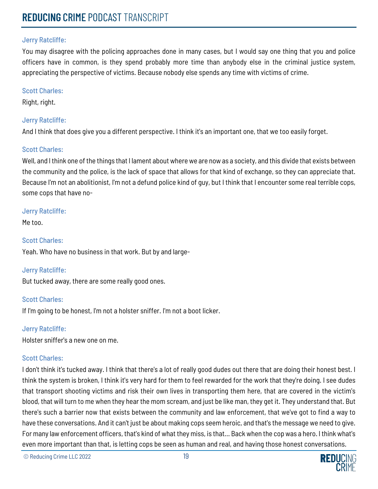You may disagree with the policing approaches done in many cases, but I would say one thing that you and police officers have in common, is they spend probably more time than anybody else in the criminal justice system, appreciating the perspective of victims. Because nobody else spends any time with victims of crime.

#### Scott Charles:

Right, right.

#### Jerry Ratcliffe:

And I think that does give you a different perspective. I think it's an important one, that we too easily forget.

### Scott Charles:

Well, and I think one of the things that I lament about where we are now as a society, and this divide that exists between the community and the police, is the lack of space that allows for that kind of exchange, so they can appreciate that. Because I'm not an abolitionist, I'm not a defund police kind of guy, but I think that I encounter some real terrible cops, some cops that have no-

#### Jerry Ratcliffe:

Me too.

## Scott Charles:

Yeah. Who have no business in that work. But by and large-

## Jerry Ratcliffe:

But tucked away, there are some really good ones.

## Scott Charles:

If I'm going to be honest, I'm not a holster sniffer. I'm not a boot licker.

#### Jerry Ratcliffe:

Holster sniffer's a new one on me.

## Scott Charles:

I don't think it's tucked away. I think that there's a lot of really good dudes out there that are doing their honest best. I think the system is broken, I think it's very hard for them to feel rewarded for the work that they're doing. I see dudes that transport shooting victims and risk their own lives in transporting them here, that are covered in the victim's blood, that will turn to me when they hear the mom scream, and just be like man, they get it. They understand that. But there's such a barrier now that exists between the community and law enforcement, that we've got to find a way to have these conversations. And it can't just be about making cops seem heroic, and that's the message we need to give. For many law enforcement officers, that's kind of what they miss, is that... Back when the cop was a hero. I think what's even more important than that, is letting cops be seen as human and real, and having those honest conversations.